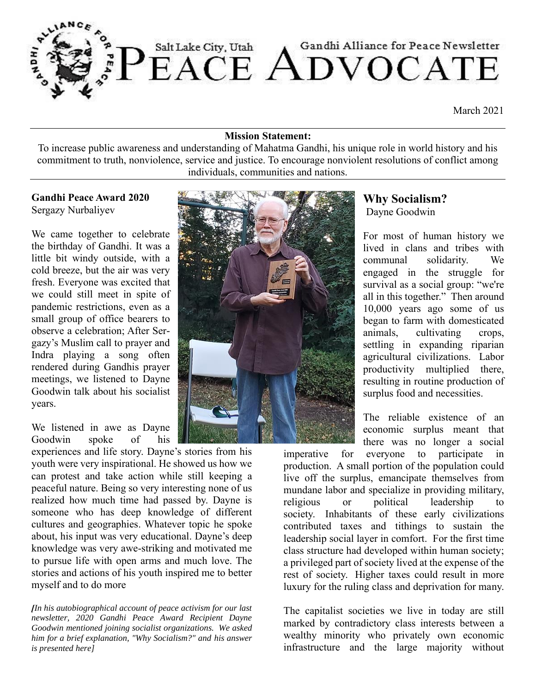

March 2021

#### **Mission Statement:**

To increase public awareness and understanding of Mahatma Gandhi, his unique role in world history and his commitment to truth, nonviolence, service and justice. To encourage nonviolent resolutions of conflict among individuals, communities and nations.

#### **Gandhi Peace Award 2020** Sergazy Nurbaliyev

We came together to celebrate the birthday of Gandhi. It was a little bit windy outside, with a cold breeze, but the air was very fresh. Everyone was excited that we could still meet in spite of pandemic restrictions, even as a small group of office bearers to observe a celebration; After Sergazy's Muslim call to prayer and Indra playing a song often rendered during Gandhis prayer meetings, we listened to Dayne Goodwin talk about his socialist years.

We listened in awe as Dayne Goodwin spoke of his

experiences and life story. Dayne's stories from his youth were very inspirational. He showed us how we can protest and take action while still keeping a peaceful nature. Being so very interesting none of us realized how much time had passed by. Dayne is someone who has deep knowledge of different cultures and geographies. Whatever topic he spoke about, his input was very educational. Dayne's deep knowledge was very awe-striking and motivated me to pursue life with open arms and much love. The stories and actions of his youth inspired me to better myself and to do more

*[In his autobiographical account of peace activism for our last newsletter, 2020 Gandhi Peace Award Recipient Dayne Goodwin mentioned joining socialist organizations. We asked him for a brief explanation, "Why Socialism?" and his answer is presented here]*



## **Why Socialism?** Dayne Goodwin

For most of human history we lived in clans and tribes with communal solidarity. We engaged in the struggle for survival as a social group: "we're all in this together." Then around 10,000 years ago some of us began to farm with domesticated animals, cultivating crops, settling in expanding riparian agricultural civilizations. Labor productivity multiplied there, resulting in routine production of surplus food and necessities.

The reliable existence of an economic surplus meant that there was no longer a social

imperative for everyone to participate in production. A small portion of the population could live off the surplus, emancipate themselves from mundane labor and specialize in providing military, religious or political leadership to society. Inhabitants of these early civilizations contributed taxes and tithings to sustain the leadership social layer in comfort. For the first time class structure had developed within human society; a privileged part of society lived at the expense of the rest of society. Higher taxes could result in more luxury for the ruling class and deprivation for many.

The capitalist societies we live in today are still marked by contradictory class interests between a wealthy minority who privately own economic infrastructure and the large majority without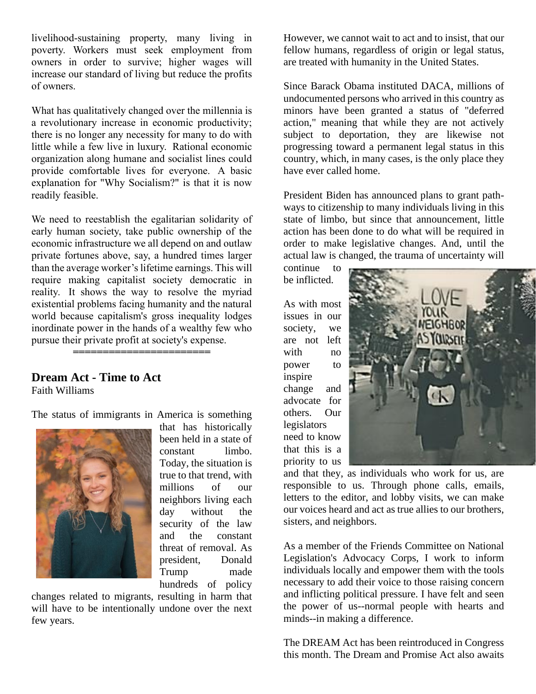livelihood-sustaining property, many living in poverty. Workers must seek employment from owners in order to survive; higher wages will increase our standard of living but reduce the profits of owners.

What has qualitatively changed over the millennia is a revolutionary increase in economic productivity; there is no longer any necessity for many to do with little while a few live in luxury. Rational economic organization along humane and socialist lines could provide comfortable lives for everyone. A basic explanation for "Why Socialism?" is that it is now readily feasible.

We need to reestablish the egalitarian solidarity of early human society, take public ownership of the economic infrastructure we all depend on and outlaw private fortunes above, say, a hundred times larger than the average worker's lifetime earnings. This will require making capitalist society democratic in reality. It shows the way to resolve the myriad existential problems facing humanity and the natural world because capitalism's gross inequality lodges inordinate power in the hands of a wealthy few who pursue their private profit at society's expense. **=======================**

#### **Dream Act - Time to Act**  Faith Williams

The status of immigrants in America is something



that has historically been held in a state of constant limbo. Today, the situation is true to that trend, with millions of our neighbors living each day without the security of the law and the constant threat of removal. As president, Donald Trump made hundreds of policy

changes related to migrants, resulting in harm that will have to be intentionally undone over the next few years.

However, we cannot wait to act and to insist, that our fellow humans, regardless of origin or legal status, are treated with humanity in the United States.

Since Barack Obama instituted DACA, millions of undocumented persons who arrived in this country as minors have been granted a status of "deferred action," meaning that while they are not actively subject to deportation, they are likewise not progressing toward a permanent legal status in this country, which, in many cases, is the only place they have ever called home.

President Biden has announced plans to grant pathways to citizenship to many individuals living in this state of limbo, but since that announcement, little action has been done to do what will be required in order to make legislative changes. And, until the actual law is changed, the trauma of uncertainty will

continue to be inflicted.

As with most issues in our society, we are not left with no power to inspire change and advocate for others. Our legislators need to know that this is a priority to us



and that they, as individuals who work for us, are responsible to us. Through phone calls, emails, letters to the editor, and lobby visits, we can make our voices heard and act as true allies to our brothers, sisters, and neighbors.

As a member of the Friends Committee on National Legislation's Advocacy Corps, I work to inform individuals locally and empower them with the tools necessary to add their voice to those raising concern and inflicting political pressure. I have felt and seen the power of us--normal people with hearts and minds--in making a difference.

The DREAM Act has been reintroduced in Congress this month. The Dream and Promise Act also awaits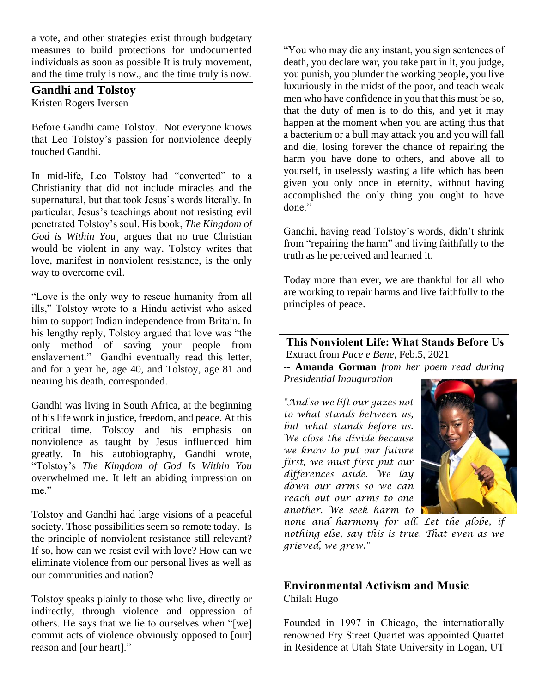a vote, and other strategies exist through budgetary measures to build protections for undocumented individuals as soon as possible It is truly movement, and the time truly is now., and the time truly is now.

## **Gandhi and Tolstoy**

Kristen Rogers Iversen

Before Gandhi came Tolstoy. Not everyone knows that Leo Tolstoy's passion for nonviolence deeply touched Gandhi.

In mid-life, Leo Tolstoy had "converted" to a Christianity that did not include miracles and the supernatural, but that took Jesus's words literally. In particular, Jesus's teachings about not resisting evil penetrated Tolstoy's soul. His book, *The Kingdom of God is Within You¸* argues that no true Christian would be violent in any way. Tolstoy writes that love, manifest in nonviolent resistance, is the only way to overcome evil.

"Love is the only way to rescue humanity from all ills," Tolstoy wrote to a Hindu activist who asked him to support Indian independence from Britain. In his lengthy reply, Tolstoy argued that love was "the only method of saving your people from enslavement." Gandhi eventually read this letter, and for a year he, age 40, and Tolstoy, age 81 and nearing his death, corresponded.

Gandhi was living in South Africa, at the beginning of his life work in justice, freedom, and peace. At this critical time, Tolstoy and his emphasis on nonviolence as taught by Jesus influenced him greatly. In his autobiography, Gandhi wrote, "Tolstoy's *The Kingdom of God Is Within You* overwhelmed me. It left an abiding impression on me."

Tolstoy and Gandhi had large visions of a peaceful society. Those possibilities seem so remote today. Is the principle of nonviolent resistance still relevant? If so, how can we resist evil with love? How can we eliminate violence from our personal lives as well as our communities and nation?

Tolstoy speaks plainly to those who live, directly or indirectly, through violence and oppression of others. He says that we lie to ourselves when "[we] commit acts of violence obviously opposed to [our] reason and [our heart]."

"You who may die any instant, you sign sentences of death, you declare war, you take part in it, you judge, you punish, you plunder the working people, you live luxuriously in the midst of the poor, and teach weak men who have confidence in you that this must be so, that the duty of men is to do this, and yet it may happen at the moment when you are acting thus that a bacterium or a bull may attack you and you will fall and die, losing forever the chance of repairing the harm you have done to others, and above all to yourself, in uselessly wasting a life which has been given you only once in eternity, without having accomplished the only thing you ought to have done."

Gandhi, having read Tolstoy's words, didn't shrink from "repairing the harm" and living faithfully to the truth as he perceived and learned it.

Today more than ever, we are thankful for all who are working to repair harms and live faithfully to the principles of peace.

**This Nonviolent Life: What Stands Before Us** Extract from *Pace e Bene*, Feb.5, 2021 *--* **Amanda Gorman** *from her poem read during* 

*Presidential Inauguration*

*"And so we lift our gazes not to what stands between us, but what stands before us. We close the divide because we know to put our future first, we must first put our differences aside. We lay down our arms so we can reach out our arms to one another. We seek harm to* 



*none and harmony for all. Let the globe, if nothing else, say this is true. That even as we grieved, we grew."* 

# **Environmental Activism and Music**  Chilali Hugo

Founded in 1997 in Chicago, the internationally renowned Fry Street Quartet was appointed Quartet in Residence at Utah State University in Logan, UT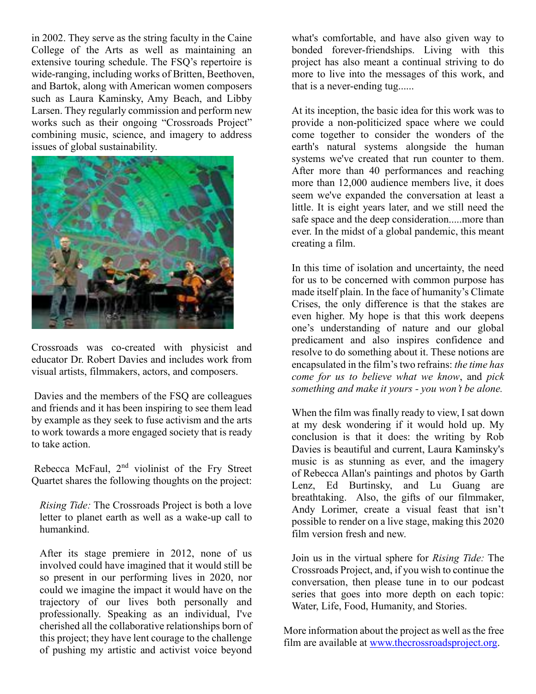in 2002. They serve as the string faculty in the Caine College of the Arts as well as maintaining an extensive touring schedule. The FSQ's repertoire is wide-ranging, including works of Britten, Beethoven, and Bartok, along with American women composers such as Laura Kaminsky, Amy Beach, and Libby Larsen. They regularly commission and perform new works such as their ongoing "Crossroads Project" combining music, science, and imagery to address issues of global sustainability.



Crossroads was co-created with physicist and educator Dr. Robert Davies and includes work from visual artists, filmmakers, actors, and composers.

Davies and the members of the FSQ are colleagues and friends and it has been inspiring to see them lead by example as they seek to fuse activism and the arts to work towards a more engaged society that is ready to take action.

Rebecca McFaul, 2<sup>nd</sup> violinist of the Fry Street Quartet shares the following thoughts on the project:

*Rising Tide:* The Crossroads Project is both a love letter to planet earth as well as a wake-up call to humankind.

After its stage premiere in 2012, none of us involved could have imagined that it would still be so present in our performing lives in 2020, nor could we imagine the impact it would have on the trajectory of our lives both personally and professionally. Speaking as an individual, I've cherished all the collaborative relationships born of this project; they have lent courage to the challenge of pushing my artistic and activist voice beyond

what's comfortable, and have also given way to bonded forever-friendships. Living with this project has also meant a continual striving to do more to live into the messages of this work, and that is a never-ending tug......

At its inception, the basic idea for this work was to provide a non-politicized space where we could come together to consider the wonders of the earth's natural systems alongside the human systems we've created that run counter to them. After more than 40 performances and reaching more than 12,000 audience members live, it does seem we've expanded the conversation at least a little. It is eight years later, and we still need the safe space and the deep consideration.....more than ever. In the midst of a global pandemic, this meant creating a film.

In this time of isolation and uncertainty, the need for us to be concerned with common purpose has made itself plain. In the face of humanity's Climate Crises, the only difference is that the stakes are even higher. My hope is that this work deepens one's understanding of nature and our global predicament and also inspires confidence and resolve to do something about it. These notions are encapsulated in the film's two refrains: *the time has come for us to believe what we know*, and *pick something and make it yours - you won't be alone.*

When the film was finally ready to view, I sat down at my desk wondering if it would hold up. My conclusion is that it does: the writing by Rob Davies is beautiful and current, Laura Kaminsky's music is as stunning as ever, and the imagery of Rebecca Allan's paintings and photos by Garth Lenz, Ed Burtinsky, and Lu Guang are breathtaking. Also, the gifts of our filmmaker, Andy Lorimer, create a visual feast that isn't possible to render on a live stage, making this 2020 film version fresh and new.

Join us in the virtual sphere for *Rising Tide:* The Crossroads Project, and, if you wish to continue the conversation, then please tune in to our podcast series that goes into more depth on each topic: Water, Life, Food, Humanity, and Stories.

More information about the project as well as the free film are available at [www.thecrossroadsproject.org.](http://www.thecrossroadsproject.org/)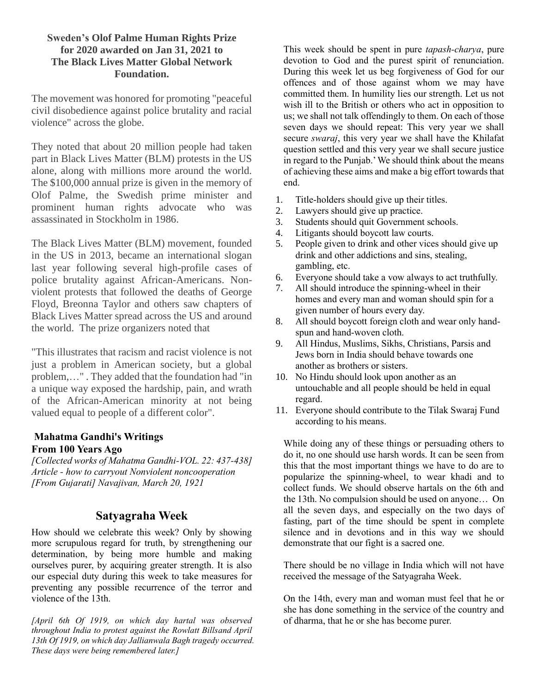#### **Sweden's Olof Palme Human Rights Prize for 2020 awarded on Jan 31, 2021 to The Black Lives Matter Global Network Foundation.**

The [movement](http://www.palmefonden.se/2020-black-lives-matter-global-network-foundation-2/) was honored for promoting "peaceful civil disobedience against police brutality and racial violence" across the globe.

They noted that about 20 million people had taken part in Black Lives Matter (BLM) protests in the US alone, along with millions more around the world. The \$100,000 annual prize is given in the memory of Olof Palme, the Swedish prime minister and prominent human rights advocate who was assassinated in Stockholm in 1986.

The Black Lives Matter (BLM) movement, founded in the US in 2013, became an international slogan last year following several high-profile cases of police brutality against African-Americans. Nonviolent protests that followed the deaths of George Floyd, Breonna Taylor and others saw chapters of Black Lives Matter spread across the US and around the world. The prize organizers noted that

"This illustrates that racism and racist violence is not just a problem in American society, but a global problem,…" . They added that the foundation had "in a unique way exposed the hardship, pain, and wrath of the African-American minority at not being valued equal to people of a different color".

## **Mahatma Gandhi's Writings From 100 Years Ago**

*[Collected works of Mahatma Gandhi-VOL. 22: 437-438] Article - how to carryout Nonviolent noncooperation [From Gujarati] Navajivan, March 20, 1921*

# **Satyagraha Week**

How should we celebrate this week? Only by showing more scrupulous regard for truth, by strengthening our determination, by being more humble and making ourselves purer, by acquiring greater strength. It is also our especial duty during this week to take measures for preventing any possible recurrence of the terror and violence of the 13th.

*[April 6th Of 1919, on which day hartal was observed throughout India to protest against the Rowlatt Billsand April 13th Of 1919, on which day Jallianwala Bagh tragedy occurred. These days were being remembered later.]* 

This week should be spent in pure *tapash-charya*, pure devotion to God and the purest spirit of renunciation. During this week let us beg forgiveness of God for our offences and of those against whom we may have committed them. In humility lies our strength. Let us not wish ill to the British or others who act in opposition to us; we shall not talk offendingly to them. On each of those seven days we should repeat: This very year we shall secure *swaraj*, this very year we shall have the Khilafat question settled and this very year we shall secure justice in regard to the Punjab.' We should think about the means of achieving these aims and make a big effort towards that end.

- 1. Title-holders should give up their titles.
- 2. Lawyers should give up practice.
- 3. Students should quit Government schools.
- 4. Litigants should boycott law courts.
- 5. People given to drink and other vices should give up drink and other addictions and sins, stealing, gambling, etc.
- 6. Everyone should take a vow always to act truthfully.
- 7. All should introduce the spinning-wheel in their homes and every man and woman should spin for a given number of hours every day.
- 8. All should boycott foreign cloth and wear only handspun and hand-woven cloth.
- 9. All Hindus, Muslims, Sikhs, Christians, Parsis and Jews born in India should behave towards one another as brothers or sisters.
- 10. No Hindu should look upon another as an untouchable and all people should be held in equal regard.
- 11. Everyone should contribute to the Tilak Swaraj Fund according to his means.

While doing any of these things or persuading others to do it, no one should use harsh words. It can be seen from this that the most important things we have to do are to popularize the spinning-wheel, to wear khadi and to collect funds. We should observe hartals on the 6th and the 13th. No compulsion should be used on anyone… On all the seven days, and especially on the two days of fasting, part of the time should be spent in complete silence and in devotions and in this way we should demonstrate that our fight is a sacred one.

There should be no village in India which will not have received the message of the Satyagraha Week.

On the 14th, every man and woman must feel that he or she has done something in the service of the country and of dharma, that he or she has become purer.